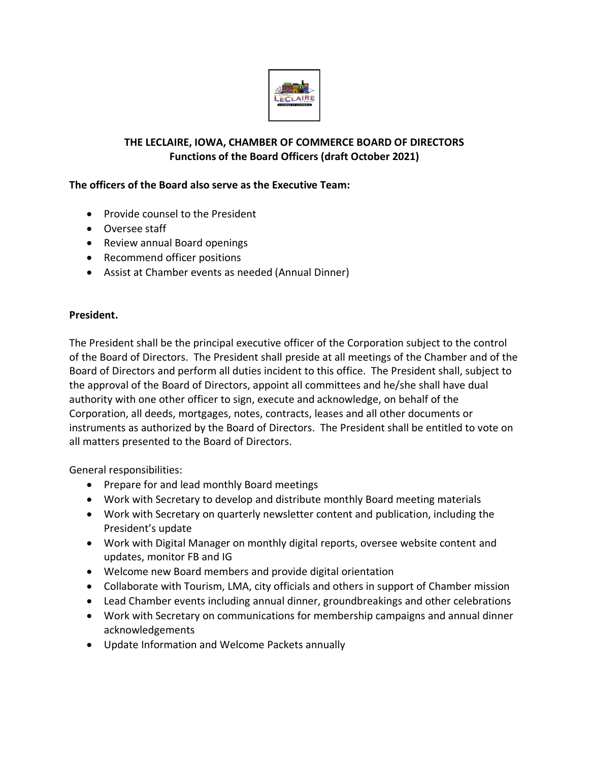

# **THE LECLAIRE, IOWA, CHAMBER OF COMMERCE BOARD OF DIRECTORS Functions of the Board Officers (draft October 2021)**

# **The officers of the Board also serve as the Executive Team:**

- Provide counsel to the President
- Oversee staff
- Review annual Board openings
- Recommend officer positions
- Assist at Chamber events as needed (Annual Dinner)

### **President.**

The President shall be the principal executive officer of the Corporation subject to the control of the Board of Directors. The President shall preside at all meetings of the Chamber and of the Board of Directors and perform all duties incident to this office. The President shall, subject to the approval of the Board of Directors, appoint all committees and he/she shall have dual authority with one other officer to sign, execute and acknowledge, on behalf of the Corporation, all deeds, mortgages, notes, contracts, leases and all other documents or instruments as authorized by the Board of Directors. The President shall be entitled to vote on all matters presented to the Board of Directors.

General responsibilities:

- Prepare for and lead monthly Board meetings
- Work with Secretary to develop and distribute monthly Board meeting materials
- Work with Secretary on quarterly newsletter content and publication, including the President's update
- Work with Digital Manager on monthly digital reports, oversee website content and updates, monitor FB and IG
- Welcome new Board members and provide digital orientation
- Collaborate with Tourism, LMA, city officials and others in support of Chamber mission
- Lead Chamber events including annual dinner, groundbreakings and other celebrations
- Work with Secretary on communications for membership campaigns and annual dinner acknowledgements
- Update Information and Welcome Packets annually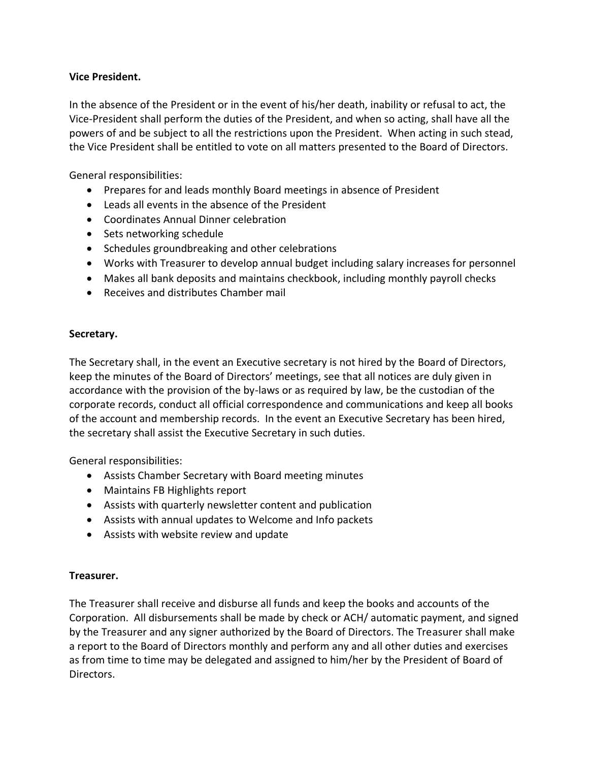## **Vice President.**

In the absence of the President or in the event of his/her death, inability or refusal to act, the Vice-President shall perform the duties of the President, and when so acting, shall have all the powers of and be subject to all the restrictions upon the President. When acting in such stead, the Vice President shall be entitled to vote on all matters presented to the Board of Directors.

General responsibilities:

- Prepares for and leads monthly Board meetings in absence of President
- Leads all events in the absence of the President
- Coordinates Annual Dinner celebration
- Sets networking schedule
- Schedules groundbreaking and other celebrations
- Works with Treasurer to develop annual budget including salary increases for personnel
- Makes all bank deposits and maintains checkbook, including monthly payroll checks
- Receives and distributes Chamber mail

### **Secretary.**

The Secretary shall, in the event an Executive secretary is not hired by the Board of Directors, keep the minutes of the Board of Directors' meetings, see that all notices are duly given in accordance with the provision of the by-laws or as required by law, be the custodian of the corporate records, conduct all official correspondence and communications and keep all books of the account and membership records. In the event an Executive Secretary has been hired, the secretary shall assist the Executive Secretary in such duties.

General responsibilities:

- Assists Chamber Secretary with Board meeting minutes
- Maintains FB Highlights report
- Assists with quarterly newsletter content and publication
- Assists with annual updates to Welcome and Info packets
- Assists with website review and update

### **Treasurer.**

The Treasurer shall receive and disburse all funds and keep the books and accounts of the Corporation. All disbursements shall be made by check or ACH/ automatic payment, and signed by the Treasurer and any signer authorized by the Board of Directors. The Treasurer shall make a report to the Board of Directors monthly and perform any and all other duties and exercises as from time to time may be delegated and assigned to him/her by the President of Board of Directors.